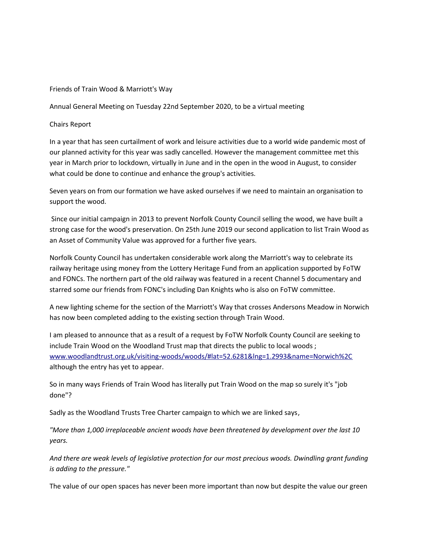## Friends of Train Wood & Marriott's Way

Annual General Meeting on Tuesday 22nd September 2020, to be a virtual meeting

Chairs Report

In a year that has seen curtailment of work and leisure activities due to a world wide pandemic most of our planned activity for this year was sadly cancelled. However the management committee met this year in March prior to lockdown, virtually in June and in the open in the wood in August, to consider what could be done to continue and enhance the group's activities.

Seven years on from our formation we have asked ourselves if we need to maintain an organisation to support the wood.

 Since our initial campaign in 2013 to prevent Norfolk County Council selling the wood, we have built a strong case for the wood's preservation. On 25th June 2019 our second application to list Train Wood as an Asset of Community Value was approved for a further five years.

Norfolk County Council has undertaken considerable work along the Marriott's way to celebrate its railway heritage using money from the Lottery Heritage Fund from an application supported by FoTW and FONCs. The northern part of the old railway was featured in a recent Channel 5 documentary and starred some our friends from FONC's including Dan Knights who is also on FoTW committee.

A new lighting scheme for the section of the Marriott's Way that crosses Andersons Meadow in Norwich has now been completed adding to the existing section through Train Wood.

I am pleased to announce that as a result of a request by FoTW Norfolk County Council are seeking to include Train Wood on the Woodland Trust map that directs the public to local woods ; [www.woodlandtrust.org.uk/visiting-woods/woods/#lat=52.6281&lng=1.2993&name=Norwich%2C](http://www.woodlandtrust.org.uk/visiting-woods/woods/#lat=52.6281&lng=1.2993&name=Norwich%2C)  although the entry has yet to appear.

So in many ways Friends of Train Wood has literally put Train Wood on the map so surely it's "job done"?

Sadly as the Woodland Trusts Tree Charter campaign to which we are linked says,

*"More than 1,000 irreplaceable ancient woods have been threatened by development over the last 10 years.*

*And there are weak levels of legislative protection for our most precious woods. Dwindling grant funding is adding to the pressure."*

The value of our open spaces has never been more important than now but despite the value our green